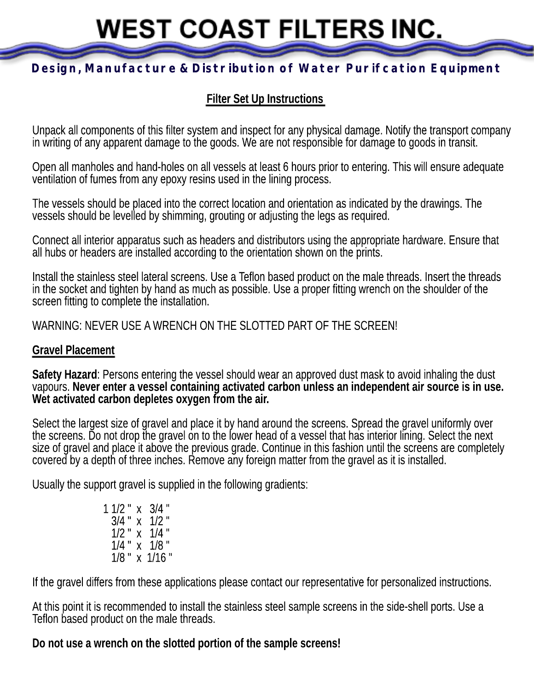# **WEST COAST FILTERS INC.**

# **Design, Manufacture & Distribution of Water Purifcation Equipment**

# **Filter Set Up Instructions**

Unpack all components of this filter system and inspect for any physical damage. Notify the transport company in writing of any apparent damage to the goods. We are not responsible for damage to goods in transit.

Open all manholes and hand-holes on all vessels at least 6 hours prior to entering. This will ensure adequate ventilation of fumes from any epoxy resins used in the lining process.

The vessels should be placed into the correct location and orientation as indicated by the drawings. The vessels should be levelled by shimming, grouting or adjusting the legs as required.

Connect all interior apparatus such as headers and distributors using the appropriate hardware. Ensure that all hubs or headers are installed according to the orientation shown on the prints.

Install the stainless steel lateral screens. Use a Teflon based product on the male threads. Insert the threads in the socket and tighten by hand as much as possible. Use a proper fitting wrench on the shoulder of the screen fitting to complete the installation.

WARNING: NEVER USE A WRENCH ON THE SLOTTED PART OF THE SCREEN!

#### **Gravel Placement**

**Safety Hazard**: Persons entering the vessel should wear an approved dust mask to avoid inhaling the dust vapours. **Never enter a vessel containing activated carbon unless an independent air source is in use. Wet activated carbon depletes oxygen from the air.**

Select the largest size of gravel and place it by hand around the screens. Spread the gravel uniformly over the screens. Do not drop the gravel on to the lower head of a vessel that has interior lining. Select the next size of gravel and place it above the previous grade. Continue in this fashion until the screens are completely covered by a depth of three inches. Remove any foreign matter from the gravel as it is installed.

Usually the support gravel is supplied in the following gradients:

1 1/2 " x 3/4 "  $3/4$  " x  $1/2$  " 1/2 " x 1/4 " 1/4 " x 1/8 " 1/8 " x 1/16 "

If the gravel differs from these applications please contact our representative for personalized instructions.

At this point it is recommended to install the stainless steel sample screens in the side-shell ports. Use a Teflon based product on the male threads.

#### **Do not use a wrench on the slotted portion of the sample screens!**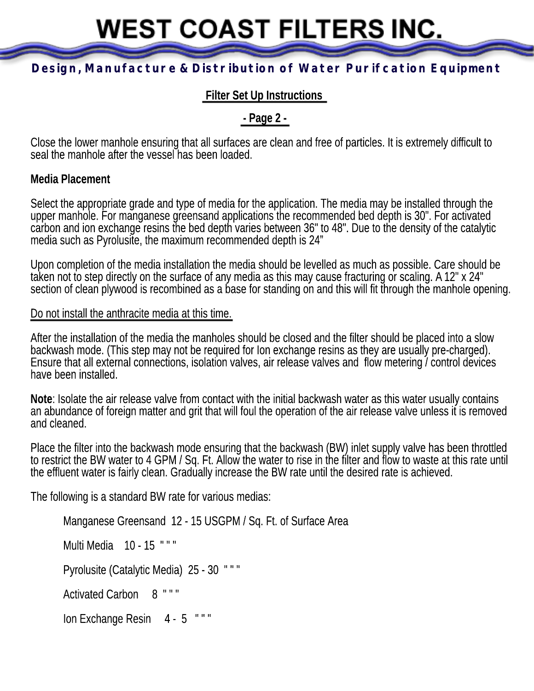**WEST COAST FILTERS INC.** 

# **Design, Manufacture & Distribution of Water Purifcation Equipment**

## **Filter Set Up Instructions**

## **- Page 2 -**

Close the lower manhole ensuring that all surfaces are clean and free of particles. It is extremely difficult to seal the manhole after the vessel has been loaded.

#### **Media Placement**

Select the appropriate grade and type of media for the application. The media may be installed through the upper manhole. For manganese greensand applications the recommended bed depth is 30". For activated carbon and ion exchange resins the bed depth varies between 36" to 48". Due to the density of the catalytic media such as Pyrolusite, the maximum recommended depth is 24"

Upon completion of the media installation the media should be levelled as much as possible. Care should be taken not to step directly on the surface of any media as this may cause fracturing or scaling. A 12" x 24" section of clean plywood is recombined as a base for standing on and this will fit through the manhole opening.

#### Do not install the anthracite media at this time.

After the installation of the media the manholes should be closed and the filter should be placed into a slow backwash mode. (This step may not be required for Ion exchange resins as they are usually pre-charged). Ensure that all external connections, isolation valves, air release valves and flow metering / control devices have been installed.

**Note**: Isolate the air release valve from contact with the initial backwash water as this water usually contains an abundance of foreign matter and grit that will foul the operation of the air release valve unless it is removed and cleaned.

Place the filter into the backwash mode ensuring that the backwash (BW) inlet supply valve has been throttled to restrict the BW water to 4 GPM / Sq. Ft. Allow the water to rise in the filter and flow to waste at this rate until the effluent water is fairly clean. Gradually increase the BW rate until the desired rate is achieved.

The following is a standard BW rate for various medias:

```
Manganese Greensand 12 - 15 USGPM / Sq. Ft. of Surface Area
Multi Media 10 - 15 " " "
Pyrolusite (Catalytic Media) 25 - 30 " " "
Activated Carbon 8 " " "
Ion Exchange Resin 4 - 5 """
```